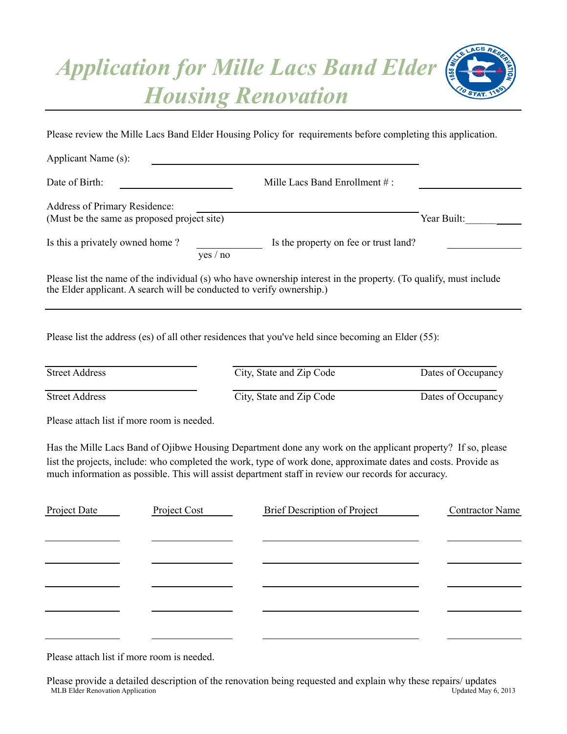## *Application for Mille Lacs Band Elder Housing Renovation*



Please review the Mille Lacs Band Elder Housing Policy for requirements before completing this application.

| Applicant Name (s):                                                                                                                                                                        |                                       |             |
|--------------------------------------------------------------------------------------------------------------------------------------------------------------------------------------------|---------------------------------------|-------------|
| Date of Birth:                                                                                                                                                                             | Mille Lacs Band Enrollment $\#$ :     |             |
| Address of Primary Residence:<br>(Must be the same as proposed project site)                                                                                                               |                                       | Year Built: |
| Is this a privately owned home?<br>ves / no                                                                                                                                                | Is the property on fee or trust land? |             |
| Please list the name of the individual (s) who have ownership interest in the property. (To qualify, must include<br>the Elder applicant. A search will be conducted to verify ownership.) |                                       |             |

Please list the address (es) of all other residences that you've held since becoming an Elder (55):

| <b>Street Address</b> | City, State and Zip Code | Dates of Occupancy |
|-----------------------|--------------------------|--------------------|
| <b>Street Address</b> | City, State and Zip Code | Dates of Occupancy |

Please attach list if more room is needed.

Has the Mille Lacs Band of Ojibwe Housing Department done any work on the applicant property? If so, please list the projects, include: who completed the work, type of work done, approximate dates and costs. Provide as much information as possible. This will assist department staff in review our records for accuracy.

| Project Date | Project Cost | Brief Description of Project | <b>Contractor Name</b> |
|--------------|--------------|------------------------------|------------------------|
|              |              |                              |                        |
|              |              |                              |                        |
|              |              |                              |                        |
|              |              |                              |                        |
|              |              |                              |                        |
|              |              |                              |                        |
|              |              |                              |                        |

Please attach list if more room is needed.

MLB Elder Renovation Application **Application** Contract Contract Contract Contract Contract Contract Contract Contract Contract Contract Contract Contract Contract Contract Contract Contract Contract Contract Contract Cont Please provide a detailed description of the renovation being requested and explain why these repairs/ updates